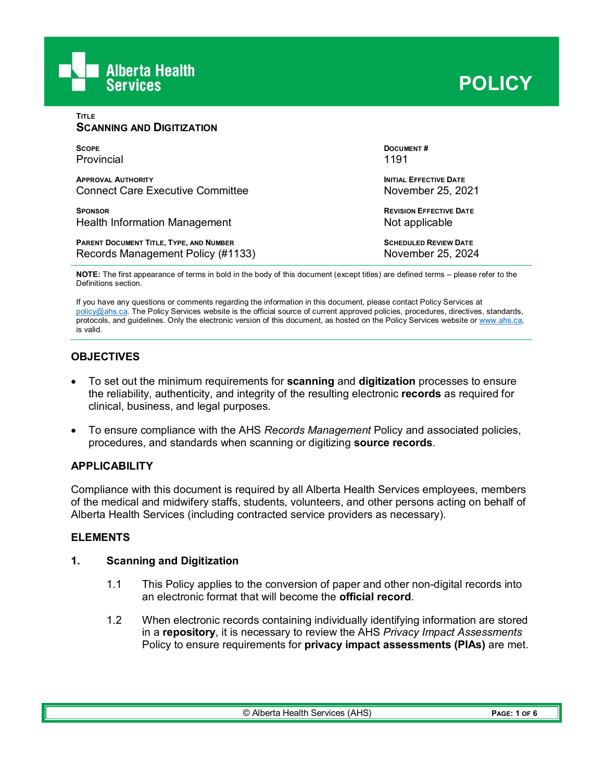

**TITLE**

| <b>SCANNING AND DIGITIZATION</b>               |                                |  |  |  |
|------------------------------------------------|--------------------------------|--|--|--|
| <b>SCOPE</b>                                   | DOCUMENT#                      |  |  |  |
| Provincial                                     | 1191                           |  |  |  |
| <b>APPROVAL AUTHORITY</b>                      | <b>INITIAL EFFECTIVE DATE</b>  |  |  |  |
| <b>Connect Care Executive Committee</b>        | November 25, 2021              |  |  |  |
| <b>SPONSOR</b>                                 | <b>REVISION EFFECTIVE DATE</b> |  |  |  |
| Health Information Management                  | Not applicable                 |  |  |  |
| <b>PARENT DOCUMENT TITLE, TYPE, AND NUMBER</b> | <b>SCHEDULED REVIEW DATE</b>   |  |  |  |
| Records Management Policy (#1133)              | November 25, 2024              |  |  |  |

**NOTE:** The first appearance of terms in bold in the body of this document (except titles) are defined terms – please refer to the Definitions section.

If you have any questions or comments regarding the information in this document, please contact Policy Services at [policy@ahs.ca.](mailto:policy@ahs.ca) The Policy Services website is the official source of current approved policies, procedures, directives, standards, protocols, and guidelines. Only the electronic version of this document, as hosted on the Policy Services website or www.ahs.ca, is valid.

# **OBJECTIVES**

- To set out the minimum requirements for **scanning** and **digitization** processes to ensure the reliability, authenticity, and integrity of the resulting electronic **records** as required for clinical, business, and legal purposes.
- To ensure compliance with the AHS *Records Management* Policy and associated policies, procedures, and standards when scanning or digitizing **source records**.

## **APPLICABILITY**

Compliance with this document is required by all Alberta Health Services employees, members of the medical and midwifery staffs, students, volunteers, and other persons acting on behalf of Alberta Health Services (including contracted service providers as necessary).

### **ELEMENTS**

### **1. Scanning and Digitization**

- 1.1 This Policy applies to the conversion of paper and other non-digital records into an electronic format that will become the **official record**.
- 1.2 When electronic records containing individually identifying information are stored in a **repository**, it is necessary to review the AHS *Privacy Impact Assessments* Policy to ensure requirements for **privacy impact assessments (PIAs)** are met.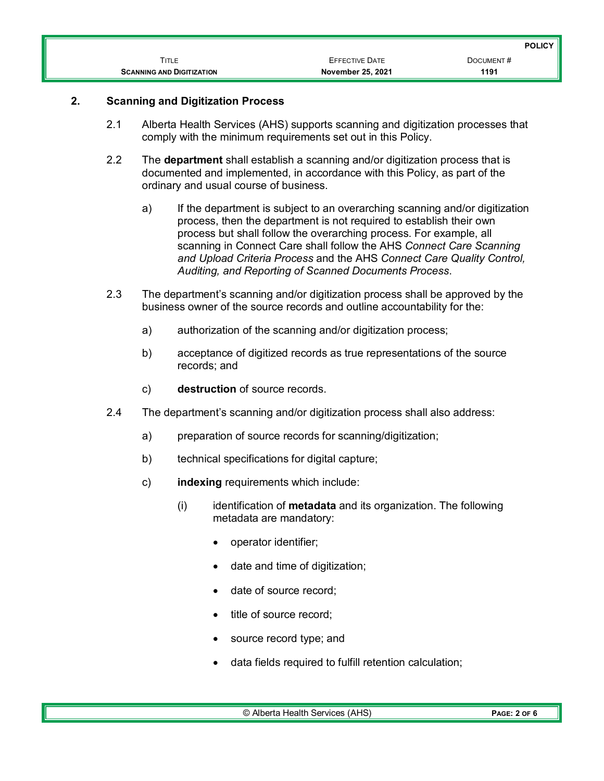|                                  |                          | <b>POLICY</b> |
|----------------------------------|--------------------------|---------------|
| TITLE                            | <b>EFFECTIVE DATE</b>    | DOCUMENT#     |
| <b>SCANNING AND DIGITIZATION</b> | <b>November 25, 2021</b> | 1191          |

## **2. Scanning and Digitization Process**

- 2.1 Alberta Health Services (AHS) supports scanning and digitization processes that comply with the minimum requirements set out in this Policy.
- 2.2 The **department** shall establish a scanning and/or digitization process that is documented and implemented, in accordance with this Policy, as part of the ordinary and usual course of business.
	- a) If the department is subject to an overarching scanning and/or digitization process, then the department is not required to establish their own process but shall follow the overarching process. For example, all scanning in Connect Care shall follow the AHS *Connect Care Scanning and Upload Criteria Process* and the AHS *Connect Care Quality Control, Auditing, and Reporting of Scanned Documents Process*.
- 2.3 The department's scanning and/or digitization process shall be approved by the business owner of the source records and outline accountability for the:
	- a) authorization of the scanning and/or digitization process;
	- b) acceptance of digitized records as true representations of the source records; and
	- c) **destruction** of source records.
- 2.4 The department's scanning and/or digitization process shall also address:
	- a) preparation of source records for scanning/digitization;
	- b) technical specifications for digital capture;
	- c) **indexing** requirements which include:
		- (i) identification of **metadata** and its organization. The following metadata are mandatory:
			- operator identifier;
			- date and time of digitization;
			- date of source record;
			- title of source record:
			- source record type; and
			- data fields required to fulfill retention calculation;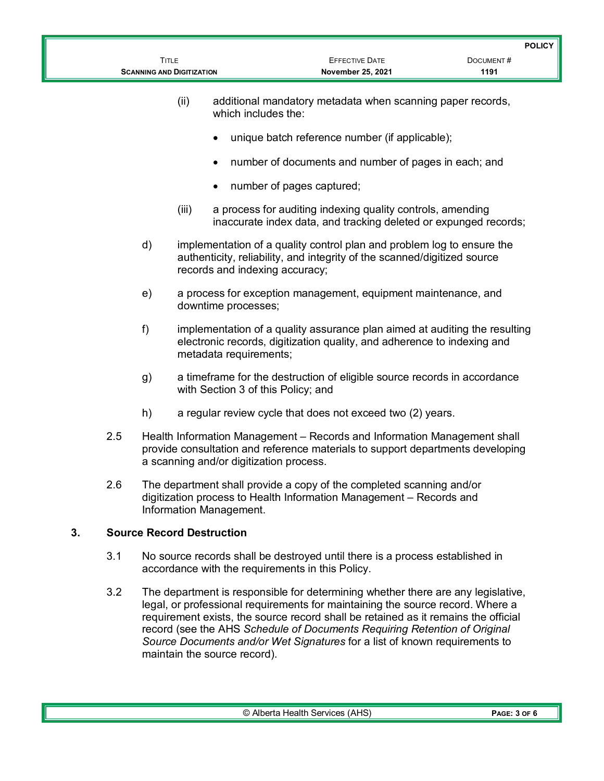|    |     | <b>TITLE</b>                                                                                                                                                                                                                                                                                                                                                                                                                                        | <b>SCANNING AND DIGITIZATION</b> |                                    | <b>EFFECTIVE DATE</b><br>November 25, 2021                                                                                     | DOCUMENT#<br>1191 | <b>POLICY</b> |
|----|-----|-----------------------------------------------------------------------------------------------------------------------------------------------------------------------------------------------------------------------------------------------------------------------------------------------------------------------------------------------------------------------------------------------------------------------------------------------------|----------------------------------|------------------------------------|--------------------------------------------------------------------------------------------------------------------------------|-------------------|---------------|
|    |     |                                                                                                                                                                                                                                                                                                                                                                                                                                                     | (ii)                             | which includes the:                | additional mandatory metadata when scanning paper records,                                                                     |                   |               |
|    |     |                                                                                                                                                                                                                                                                                                                                                                                                                                                     |                                  |                                    | unique batch reference number (if applicable);                                                                                 |                   |               |
|    |     |                                                                                                                                                                                                                                                                                                                                                                                                                                                     |                                  |                                    | number of documents and number of pages in each; and                                                                           |                   |               |
|    |     |                                                                                                                                                                                                                                                                                                                                                                                                                                                     |                                  | number of pages captured;          |                                                                                                                                |                   |               |
|    |     |                                                                                                                                                                                                                                                                                                                                                                                                                                                     | (iii)                            |                                    | a process for auditing indexing quality controls, amending<br>inaccurate index data, and tracking deleted or expunged records; |                   |               |
|    |     | d)<br>implementation of a quality control plan and problem log to ensure the<br>authenticity, reliability, and integrity of the scanned/digitized source<br>records and indexing accuracy;                                                                                                                                                                                                                                                          |                                  |                                    |                                                                                                                                |                   |               |
|    |     | a process for exception management, equipment maintenance, and<br>e)<br>downtime processes;                                                                                                                                                                                                                                                                                                                                                         |                                  |                                    |                                                                                                                                |                   |               |
|    |     | f)<br>implementation of a quality assurance plan aimed at auditing the resulting<br>electronic records, digitization quality, and adherence to indexing and<br>metadata requirements;                                                                                                                                                                                                                                                               |                                  |                                    |                                                                                                                                |                   |               |
|    |     | g)                                                                                                                                                                                                                                                                                                                                                                                                                                                  |                                  | with Section 3 of this Policy; and | a timeframe for the destruction of eligible source records in accordance                                                       |                   |               |
|    |     | h)                                                                                                                                                                                                                                                                                                                                                                                                                                                  |                                  |                                    | a regular review cycle that does not exceed two (2) years.                                                                     |                   |               |
|    | 2.5 | Health Information Management – Records and Information Management shall<br>provide consultation and reference materials to support departments developing<br>a scanning and/or digitization process.                                                                                                                                                                                                                                               |                                  |                                    |                                                                                                                                |                   |               |
|    | 2.6 | The department shall provide a copy of the completed scanning and/or<br>digitization process to Health Information Management - Records and<br>Information Management.                                                                                                                                                                                                                                                                              |                                  |                                    |                                                                                                                                |                   |               |
| 3. |     | <b>Source Record Destruction</b>                                                                                                                                                                                                                                                                                                                                                                                                                    |                                  |                                    |                                                                                                                                |                   |               |
|    | 3.1 | No source records shall be destroyed until there is a process established in<br>accordance with the requirements in this Policy.                                                                                                                                                                                                                                                                                                                    |                                  |                                    |                                                                                                                                |                   |               |
|    | 3.2 | The department is responsible for determining whether there are any legislative,<br>legal, or professional requirements for maintaining the source record. Where a<br>requirement exists, the source record shall be retained as it remains the official<br>record (see the AHS Schedule of Documents Requiring Retention of Original<br>Source Documents and/or Wet Signatures for a list of known requirements to<br>maintain the source record). |                                  |                                    |                                                                                                                                |                   |               |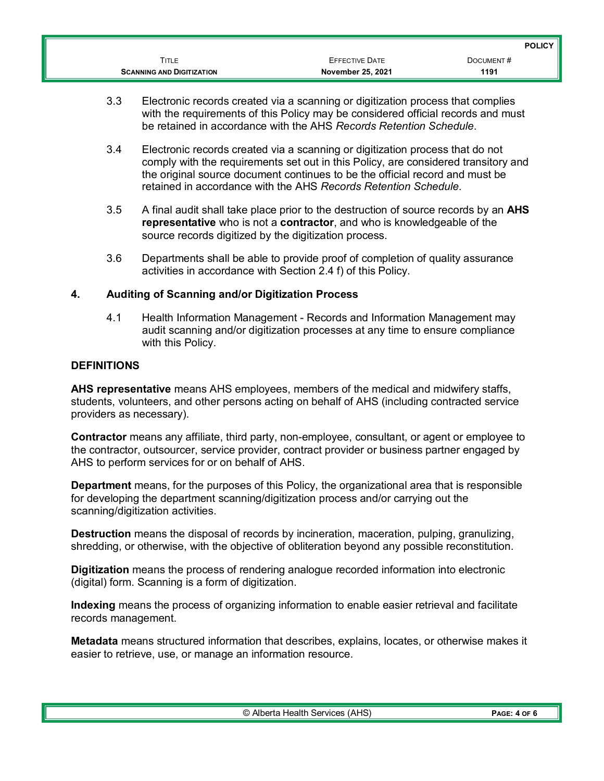| <b>SCANNING AND DIGITIZATION</b> | November 25, 2021     | 1191            |  |
|----------------------------------|-----------------------|-----------------|--|
| Title                            | <b>EFFECTIVE DATE</b> | DOCUMENT#       |  |
|                                  |                       | <b>POLICY</b> I |  |

- 3.3 Electronic records created via a scanning or digitization process that complies with the requirements of this Policy may be considered official records and must be retained in accordance with the AHS *Records Retention Schedule*.
- 3.4 Electronic records created via a scanning or digitization process that do not comply with the requirements set out in this Policy, are considered transitory and the original source document continues to be the official record and must be retained in accordance with the AHS *Records Retention Schedule*.
- 3.5 A final audit shall take place prior to the destruction of source records by an **AHS representative** who is not a **contractor**, and who is knowledgeable of the source records digitized by the digitization process.
- 3.6 Departments shall be able to provide proof of completion of quality assurance activities in accordance with Section 2.4 f) of this Policy.

### **4. Auditing of Scanning and/or Digitization Process**

4.1 Health Information Management - Records and Information Management may audit scanning and/or digitization processes at any time to ensure compliance with this Policy.

### **DEFINITIONS**

**AHS representative** means AHS employees, members of the medical and midwifery staffs, students, volunteers, and other persons acting on behalf of AHS (including contracted service providers as necessary).

**Contractor** means any affiliate, third party, non-employee, consultant, or agent or employee to the contractor, outsourcer, service provider, contract provider or business partner engaged by AHS to perform services for or on behalf of AHS.

**Department** means, for the purposes of this Policy, the organizational area that is responsible for developing the department scanning/digitization process and/or carrying out the scanning/digitization activities.

**Destruction** means the disposal of records by incineration, maceration, pulping, granulizing, shredding, or otherwise, with the objective of obliteration beyond any possible reconstitution.

**Digitization** means the process of rendering analogue recorded information into electronic (digital) form. Scanning is a form of digitization.

**Indexing** means the process of organizing information to enable easier retrieval and facilitate records management.

**Metadata** means structured information that describes, explains, locates, or otherwise makes it easier to retrieve, use, or manage an information resource.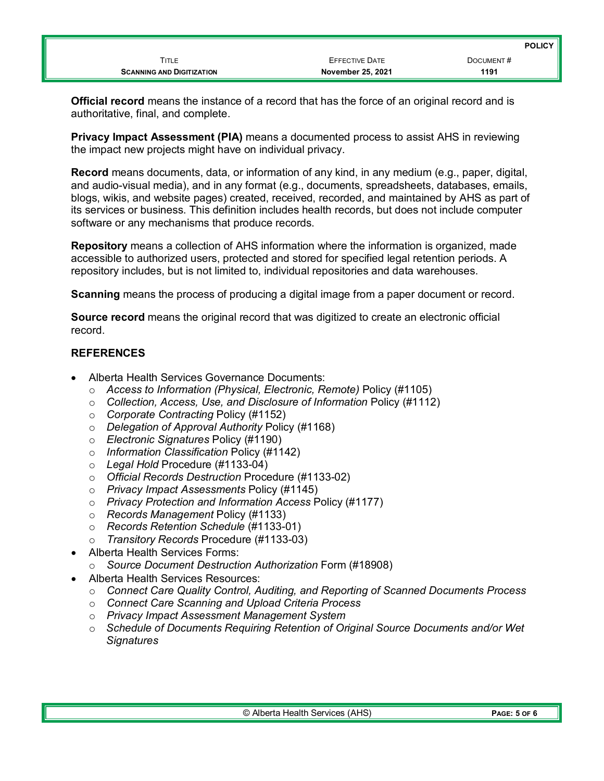|                                  |                          | <b>POLICY</b> |
|----------------------------------|--------------------------|---------------|
| Title                            | <b>EFFECTIVE DATE</b>    | DOCUMENT#     |
| <b>SCANNING AND DIGITIZATION</b> | <b>November 25, 2021</b> | 1191          |

**Official record** means the instance of a record that has the force of an original record and is authoritative, final, and complete.

**Privacy Impact Assessment (PIA)** means a documented process to assist AHS in reviewing the impact new projects might have on individual privacy.

**Record** means documents, data, or information of any kind, in any medium (e.g., paper, digital, and audio-visual media), and in any format (e.g., documents, spreadsheets, databases, emails, blogs, wikis, and website pages) created, received, recorded, and maintained by AHS as part of its services or business. This definition includes health records, but does not include computer software or any mechanisms that produce records.

**Repository** means a collection of AHS information where the information is organized, made accessible to authorized users, protected and stored for specified legal retention periods. A repository includes, but is not limited to, individual repositories and data warehouses.

**Scanning** means the process of producing a digital image from a paper document or record.

**Source record** means the original record that was digitized to create an electronic official record.

# **REFERENCES**

- Alberta Health Services Governance Documents:
	- o *Access to Information (Physical, Electronic, Remote)* Policy (#1105)
	- o *Collection, Access, Use, and Disclosure of Information* Policy (#1112)
	- o *Corporate Contracting* Policy (#1152)
	- o *Delegation of Approval Authority* Policy (#1168)
	- o *Electronic Signatures* Policy (#1190)
	- o *Information Classification* Policy (#1142)
	- o *Legal Hold* Procedure (#1133-04)
	- o *Official Records Destruction* Procedure (#1133-02)
	- o *Privacy Impact Assessments* Policy (#1145)
	- o *Privacy Protection and Information Access* Policy (#1177)
	- o *Records Management* Policy (#1133)
	- o *Records Retention Schedule* (#1133-01)
	- o *Transitory Records* Procedure (#1133-03)
- Alberta Health Services Forms:
	- o *Source Document Destruction Authorization* Form (#18908)
- Alberta Health Services Resources:
	- o *Connect Care Quality Control, Auditing, and Reporting of Scanned Documents Process*
	- o *Connect Care Scanning and Upload Criteria Process*
	- o *Privacy Impact Assessment Management System*
	- o *Schedule of Documents Requiring Retention of Original Source Documents and/or Wet Signatures*